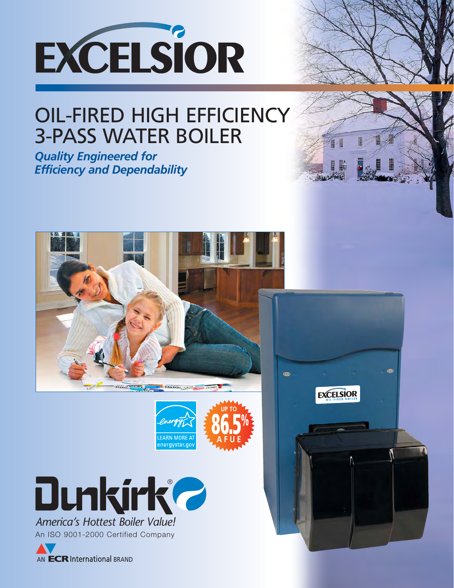

## OIL-FIRED HIGH EFFICIENCY 3-PASS WATER BOILER

*Quality Engineered for Efficiency and Dependability*





 $\bullet$ 

**EXCELSIOR** 



An ISO 9001-2000 Certified Company

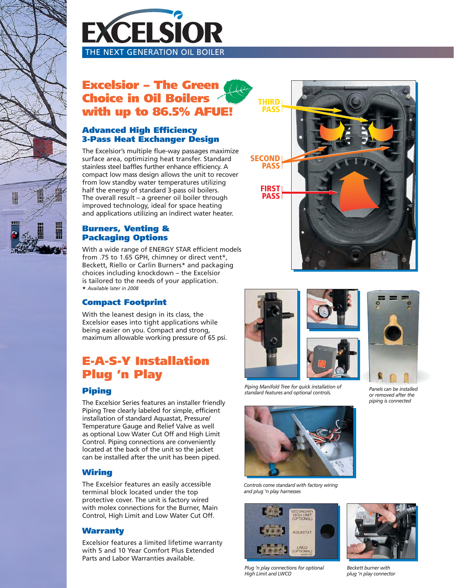



## **Excelsior – The Green Choice in Oil Boilers with up to 86.5% AFUE!**

## **Advanced High Efficiency 3-Pass Heat Exchanger Design**

The Excelsior's multiple flue-way passages maximize surface area, optimizing heat transfer. Standard stainless steel baffles further enhance efficiency. A compact low mass design allows the unit to recover from low standby water temperatures utilizing half the energy of standard 3-pass oil boilers. The overall result – a greener oil boiler through improved technology, ideal for space heating and applications utilizing an indirect water heater.

### **Burners, Venting & Packaging Options**

With a wide range of ENERGY STAR efficient models from .75 to 1.65 GPH, chimney or direct vent\*, Beckett, Riello or Carlin Burners\* and packaging choices including knockdown – the Excelsior is tailored to the needs of your application. **\*** *Available later in 2008*

## **Compact Footprint**

With the leanest design in its class, the Excelsior eases into tight applications while being easier on you. Compact and strong, maximum allowable working pressure of 65 psi.

## **E-A-S-Y Installation Plug 'n Play**

## **Piping**

The Excelsior Series features an installer friendly Piping Tree clearly labeled for simple, efficient installation of standard Aquastat, Pressure/ Temperature Gauge and Relief Valve as well as optional Low Water Cut Off and High Limit Control. Piping connections are conveniently located at the back of the unit so the jacket can be installed after the unit has been piped.

## **Wiring**

The Excelsior features an easily accessible terminal block located under the top protective cover. The unit is factory wired with molex connections for the Burner, Main Control, High Limit and Low Water Cut Off.

## **Warranty**

Excelsior features a limited lifetime warranty with 5 and 10 Year Comfort Plus Extended Parts and Labor Warranties available.







*Piping Manifold Tree for quick installation of standard features and optional controls.*



*Controls come standard with factory wiring and plug 'n play harnesses*



*Plug 'n play connections for optional High Limit and LWCO*



*Panels can be installed or removed after the piping is connected*



*Beckett burner with plug 'n play connector*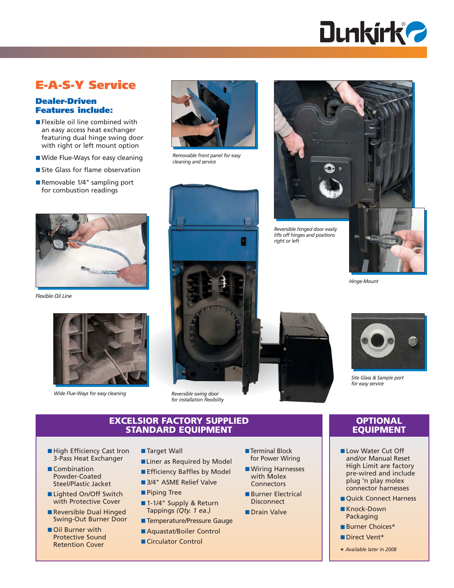

## **E-A-S-Y Service**

#### **Dealer-Driven Features include:**

- Flexible oil line combined with an easy access heat exchanger featuring dual hinge swing door with right or left mount option
- Wide Flue-Ways for easy cleaning
- Site Glass for flame observation
- Removable 1/4" sampling port for combustion readings



*Flexible Oil Line*



*Wide Flue-Ways for easy cleaning*



*Removable front panel for easy cleaning and service*



*for installation flexibility*

#### **EXCELSIOR FACTORY SUPPLIED STANDARD EQUIPMENT**

■ Liner as Required by Model ■ Efficiency Baffles by Model ■ 3/4" ASME Relief Valve

■ Target Wall

■ Piping Tree

- High Efficiency Cast Iron 3-Pass Heat Exchanger
- Combination Powder-Coated Steel/Plastic Jacket
- Lighted On/Off Switch with Protective Cover
- Reversible Dual Hinged Swing-Out Burner Door
- Oil Burner with Protective Sound Retention Cover
- Terminal Block
- Wiring Harnesses with Molex
- Burner Electrical **Disconnect**
- Drain Valve
- Temperature/Pressure Gauge
- Aquastat/Boiler Control

■ 1-1/4" Supply & Return Tappings *(Qty. 1 ea.)*

■ Circulator Control

- for Power Wiring
- **Connectors**
- 
- 
- 
- Direct Vent\*
- **\*** *Available later in 2008*

*Reversible hinged door easily* 

*Hinge-Mount*

*lifts off hinges and positions*

*right or left*



*Site Glass & Sample port for easy service*

#### **OPTIONAL EQUIPMENT**

- Low Water Cut Off and/or Manual Reset High Limit are factory pre-wired and include plug 'n play molex connector harnesses
- Quick Connect Harness
- Knock-Down Packaging
- Burner Choices\*